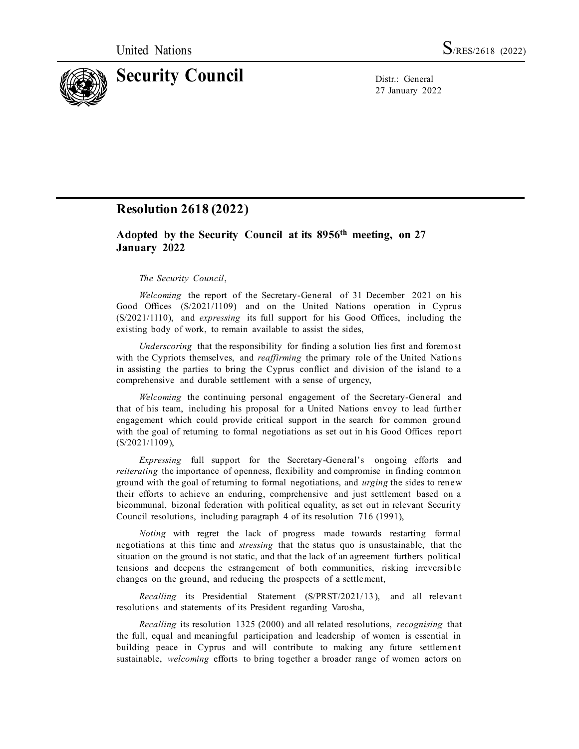

27 January 2022

## **Resolution 2618 (2022)**

## **Adopted by the Security Council at its 8956 th meeting, on 27 January 2022**

## *The Security Council*,

*Welcoming* the report of the Secretary-General of 31 December 2021 on his Good Offices (S/2021/1109) and on the United Nations operation in Cyprus (S/2021/1110), and *expressing* its full support for his Good Offices, including the existing body of work, to remain available to assist the sides,

*Underscoring* that the responsibility for finding a solution lies first and foremost with the Cypriots themselves, and *reaffirming* the primary role of the United Nations in assisting the parties to bring the Cyprus conflict and division of the island to a comprehensive and durable settlement with a sense of urgency,

*Welcoming* the continuing personal engagement of the Secretary-General and that of his team, including his proposal for a United Nations envoy to lead further engagement which could provide critical support in the search for common ground with the goal of returning to formal negotiations as set out in his Good Offices report (S/2021/1109),

*Expressing* full support for the Secretary-General's ongoing efforts and *reiterating* the importance of openness, flexibility and compromise in finding common ground with the goal of returning to formal negotiations, and *urging* the sides to renew their efforts to achieve an enduring, comprehensive and just settlement based on a bicommunal, bizonal federation with political equality, as set out in relevant Security Council resolutions, including paragraph 4 of its resolution 716 (1991),

*Noting* with regret the lack of progress made towards restarting formal negotiations at this time and *stressing* that the status quo is unsustainable, that the situation on the ground is not static, and that the lack of an agreement furthers political tensions and deepens the estrangement of both communities, risking irreversible changes on the ground, and reducing the prospects of a settlement,

*Recalling* its Presidential Statement (S/PRST/2021/13 ), and all relevant resolutions and statements of its President regarding Varosha,

*Recalling* its resolution 1325 (2000) and all related resolutions, *recognising* that the full, equal and meaningful participation and leadership of women is essential in building peace in Cyprus and will contribute to making any future settlement sustainable, *welcoming* efforts to bring together a broader range of women actors on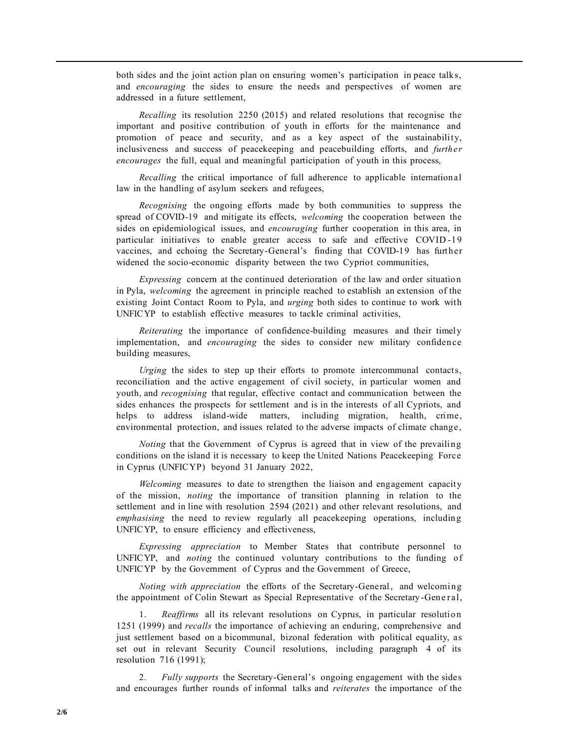both sides and the joint action plan on ensuring women's participation in peace talks, and *encouraging* the sides to ensure the needs and perspectives of women are addressed in a future settlement,

*Recalling* its resolution 2250 (2015) and related resolutions that recognise the important and positive contribution of youth in efforts for the maintenance and promotion of peace and security, and as a key aspect of the sustainability, inclusiveness and success of peacekeeping and peacebuilding efforts, and *further encourages* the full, equal and meaningful participation of youth in this process,

*Recalling* the critical importance of full adherence to applicable international law in the handling of asylum seekers and refugees,

*Recognising* the ongoing efforts made by both communities to suppress the spread of COVID-19 and mitigate its effects, *welcoming* the cooperation between the sides on epidemiological issues, and *encouraging* further cooperation in this area, in particular initiatives to enable greater access to safe and effective COVID -19 vaccines, and echoing the Secretary-General's finding that COVID-19 has further widened the socio-economic disparity between the two Cypriot communities,

*Expressing* concern at the continued deterioration of the law and order situation in Pyla, *welcoming* the agreement in principle reached to establish an extension of the existing Joint Contact Room to Pyla, and *urging* both sides to continue to work with UNFICYP to establish effective measures to tackle criminal activities,

*Reiterating* the importance of confidence-building measures and their timely implementation, and *encouraging* the sides to consider new military confidence building measures,

*Urging* the sides to step up their efforts to promote intercommunal contacts, reconciliation and the active engagement of civil society, in particular women and youth, and *recognising* that regular, effective contact and communication between the sides enhances the prospects for settlement and is in the interests of all Cypriots, and helps to address island-wide matters, including migration, health, crime, environmental protection, and issues related to the adverse impacts of climate change,

*Noting* that the Government of Cyprus is agreed that in view of the prevailing conditions on the island it is necessary to keep the United Nations Peacekeeping Force in Cyprus (UNFICYP) beyond 31 January 2022,

*Welcoming* measures to date to strengthen the liaison and engagement capacity of the mission, *noting* the importance of transition planning in relation to the settlement and in line with resolution 2594 (2021) and other relevant resolutions, and *emphasising* the need to review regularly all peacekeeping operations, including UNFICYP, to ensure efficiency and effectiveness,

*Expressing appreciation* to Member States that contribute personnel to UNFICYP, and *noting* the continued voluntary contributions to the funding of UNFICYP by the Government of Cyprus and the Government of Greece,

*Noting with appreciation* the efforts of the Secretary-General, and welcoming the appointment of Colin Stewart as Special Representative of the Secretary-General,

1. *Reaffirms* all its relevant resolutions on Cyprus, in particular resolution 1251 (1999) and *recalls* the importance of achieving an enduring, comprehensive and just settlement based on a bicommunal, bizonal federation with political equality, as set out in relevant Security Council resolutions, including paragraph 4 of its resolution 716 (1991);

2. *Fully supports* the Secretary-General's ongoing engagement with the sides and encourages further rounds of informal talks and *reiterates* the importance of the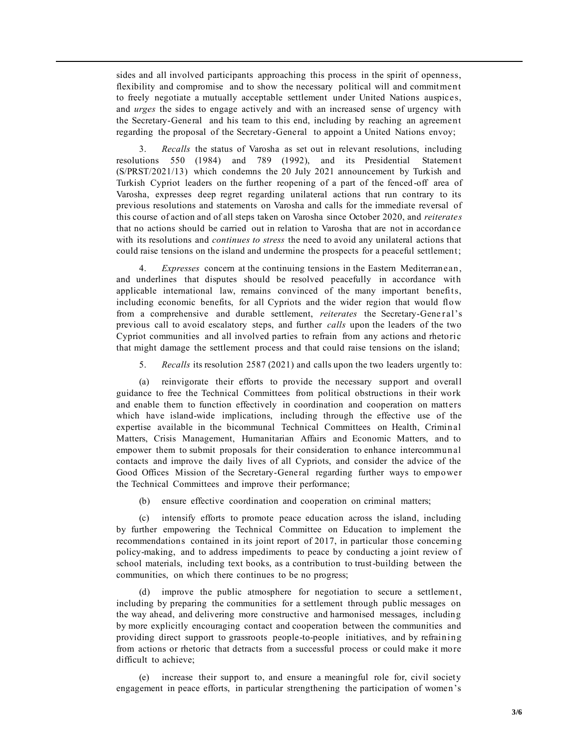sides and all involved participants approaching this process in the spirit of openness, flexibility and compromise and to show the necessary political will and commitment to freely negotiate a mutually acceptable settlement under United Nations auspices, and *urges* the sides to engage actively and with an increased sense of urgency with the Secretary-General and his team to this end, including by reaching an agreement regarding the proposal of the Secretary-General to appoint a United Nations envoy;

3. *Recalls* the status of Varosha as set out in relevant resolutions, including resolutions 550 (1984) and 789 (1992), and its Presidential Statement (S/PRST/2021/13) which condemns the 20 July 2021 announcement by Turkish and Turkish Cypriot leaders on the further reopening of a part of the fenced -off area of Varosha, expresses deep regret regarding unilateral actions that run contrary to its previous resolutions and statements on Varosha and calls for the immediate reversal of this course of action and of all steps taken on Varosha since October 2020, and *reiterates* that no actions should be carried out in relation to Varosha that are not in accordance with its resolutions and *continues to stress* the need to avoid any unilateral actions that could raise tensions on the island and undermine the prospects for a peaceful settlement;

4. *Expresses* concern at the continuing tensions in the Eastern Mediterranean, and underlines that disputes should be resolved peacefully in accordance with applicable international law, remains convinced of the many important benefits, including economic benefits, for all Cypriots and the wider region that would flow from a comprehensive and durable settlement, *reiterates* the Secretary-Gene ral's previous call to avoid escalatory steps, and further *calls* upon the leaders of the two Cypriot communities and all involved parties to refrain from any actions and rhetoric that might damage the settlement process and that could raise tensions on the island;

5. *Recalls* its resolution 2587 (2021) and calls upon the two leaders urgently to:

(a) reinvigorate their efforts to provide the necessary support and overall guidance to free the Technical Committees from political obstructions in their work and enable them to function effectively in coordination and cooperation on matters which have island-wide implications, including through the effective use of the expertise available in the bicommunal Technical Committees on Health, Criminal Matters, Crisis Management, Humanitarian Affairs and Economic Matters, and to empower them to submit proposals for their consideration to enhance intercommunal contacts and improve the daily lives of all Cypriots, and consider the advice of the Good Offices Mission of the Secretary-General regarding further ways to empower the Technical Committees and improve their performance;

(b) ensure effective coordination and cooperation on criminal matters;

(c) intensify efforts to promote peace education across the island, including by further empowering the Technical Committee on Education to implement the recommendations contained in its joint report of 2017, in particular those concerning policy-making, and to address impediments to peace by conducting a joint review of school materials, including text books, as a contribution to trust-building between the communities, on which there continues to be no progress;

(d) improve the public atmosphere for negotiation to secure a settlement, including by preparing the communities for a settlement through public messages on the way ahead, and delivering more constructive and harmonised messages, including by more explicitly encouraging contact and cooperation between the communities and providing direct support to grassroots people-to-people initiatives, and by refraining from actions or rhetoric that detracts from a successful process or could make it more difficult to achieve;

(e) increase their support to, and ensure a meaningful role for, civil society engagement in peace efforts, in particular strengthening the participation of women's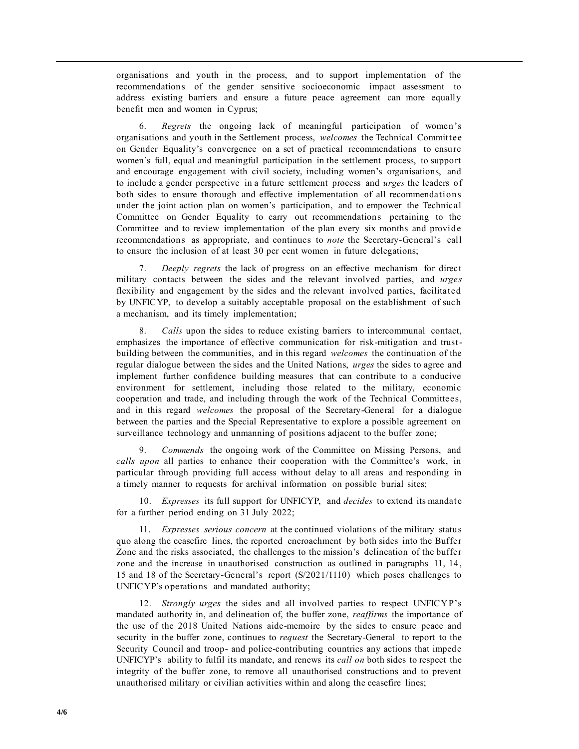organisations and youth in the process, and to support implementation of the recommendations of the gender sensitive socioeconomic impact assessment to address existing barriers and ensure a future peace agreement can more equally benefit men and women in Cyprus;

6. *Regrets* the ongoing lack of meaningful participation of women's organisations and youth in the Settlement process, *welcomes* the Technical Committee on Gender Equality's convergence on a set of practical recommendations to ensure women's full, equal and meaningful participation in the settlement process, to support and encourage engagement with civil society, including women's organisations, and to include a gender perspective in a future settlement process and *urges* the leaders of both sides to ensure thorough and effective implementation of all recommendations under the joint action plan on women's participation, and to empower the Technical Committee on Gender Equality to carry out recommendations pertaining to the Committee and to review implementation of the plan every six months and provide recommendations as appropriate, and continues to *note* the Secretary-General's call to ensure the inclusion of at least 30 per cent women in future delegations;

7. *Deeply regrets* the lack of progress on an effective mechanism for direct military contacts between the sides and the relevant involved parties, and *urges* flexibility and engagement by the sides and the relevant involved parties, facilitated by UNFICYP, to develop a suitably acceptable proposal on the establishment of such a mechanism, and its timely implementation;

8. *Calls* upon the sides to reduce existing barriers to intercommunal contact, emphasizes the importance of effective communication for risk-mitigation and trustbuilding between the communities, and in this regard *welcomes* the continuation of the regular dialogue between the sides and the United Nations, *urges* the sides to agree and implement further confidence building measures that can contribute to a conducive environment for settlement, including those related to the military, economic cooperation and trade, and including through the work of the Technical Committees, and in this regard *welcomes* the proposal of the Secretary-General for a dialogue between the parties and the Special Representative to explore a possible agreement on surveillance technology and unmanning of positions adjacent to the buffer zone;

9. *Commends* the ongoing work of the Committee on Missing Persons, and *calls upon* all parties to enhance their cooperation with the Committee's work, in particular through providing full access without delay to all areas and responding in a timely manner to requests for archival information on possible burial sites;

10. *Expresses* its full support for UNFICYP, and *decides* to extend its mandate for a further period ending on 31 July 2022;

11. *Expresses serious concern* at the continued violations of the military status quo along the ceasefire lines, the reported encroachment by both sides into the Buffer Zone and the risks associated, the challenges to the mission's delineation of the buffer zone and the increase in unauthorised construction as outlined in paragraphs 11, 14, 15 and 18 of the Secretary-General's report (S/2021/1110) which poses challenges to UNFICYP's operations and mandated authority;

12. *Strongly urges* the sides and all involved parties to respect UNFICYP's mandated authority in, and delineation of, the buffer zone, *reaffirms* the importance of the use of the 2018 United Nations aide-memoire by the sides to ensure peace and security in the buffer zone, continues to *request* the Secretary-General to report to the Security Council and troop- and police-contributing countries any actions that impede UNFICYP's ability to fulfil its mandate, and renews its *call on* both sides to respect the integrity of the buffer zone, to remove all unauthorised constructions and to prevent unauthorised military or civilian activities within and along the ceasefire lines;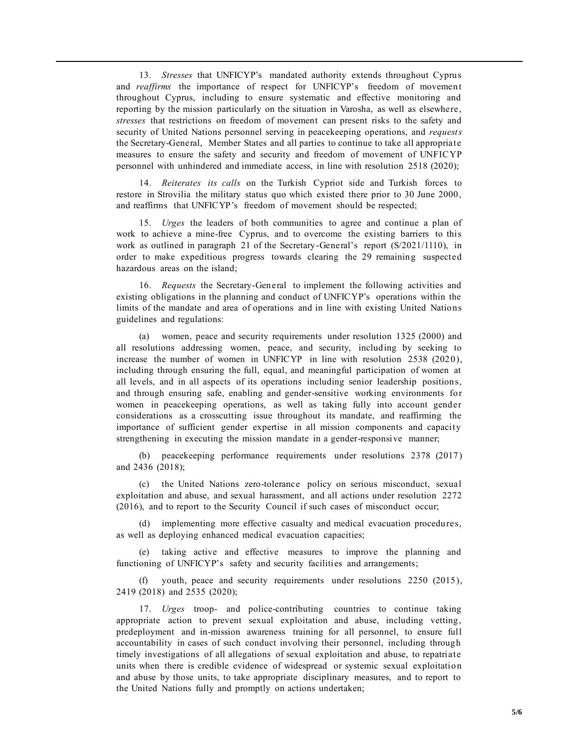13. *Stresses* that UNFICYP's mandated authority extends throughout Cyprus and *reaffirms* the importance of respect for UNFICYP's freedom of movement throughout Cyprus, including to ensure systematic and effective monitoring and reporting by the mission particularly on the situation in Varosha, as well as elsewhere, *stresses* that restrictions on freedom of movement can present risks to the safety and security of United Nations personnel serving in peacekeeping operations, and *requests* the Secretary-General, Member States and all parties to continue to take all appropriate measures to ensure the safety and security and freedom of movement of UNFICYP personnel with unhindered and immediate access, in line with resolution 2518 (2020);

14. *Reiterates its calls* on the Turkish Cypriot side and Turkish forces to restore in Strovilia the military status quo which existed there prior to 30 June 2000, and reaffirms that UNFICYP's freedom of movement should be respected;

15. *Urges* the leaders of both communities to agree and continue a plan of work to achieve a mine-free Cyprus, and to overcome the existing barriers to this work as outlined in paragraph 21 of the Secretary-General's report (S/2021/1110), in order to make expeditious progress towards clearing the 29 remainin g suspected hazardous areas on the island;

16. *Requests* the Secretary-General to implement the following activities and existing obligations in the planning and conduct of UNFICYP's operations within the limits of the mandate and area of operations and in line with existing United Nations guidelines and regulations:

(a) women, peace and security requirements under resolution 1325 (2000) and all resolutions addressing women, peace, and security, including by seeking to increase the number of women in UNFICYP in line with resolution 2538 (2020), including through ensuring the full, equal, and meaningful participation of women at all levels, and in all aspects of its operations including senior leadership positions, and through ensuring safe, enabling and gender-sensitive working environments for women in peacekeeping operations, as well as taking fully into account gender considerations as a crosscutting issue throughout its mandate, and reaffirming the importance of sufficient gender expertise in all mission components and capacity strengthening in executing the mission mandate in a gender-responsive manner;

(b) peacekeeping performance requirements under resolutions 2378 (2017) and 2436 (2018);

(c) the United Nations zero-tolerance policy on serious misconduct, sexual exploitation and abuse, and sexual harassment, and all actions under resolution 2272 (2016), and to report to the Security Council if such cases of misconduct occur;

(d) implementing more effective casualty and medical evacuation procedures, as well as deploying enhanced medical evacuation capacities;

(e) taking active and effective measures to improve the planning and functioning of UNFICYP's safety and security facilities and arrangements;

(f) youth, peace and security requirements under resolutions 2250 (2015), 2419 (2018) and 2535 (2020);

17. *Urges* troop- and police-contributing countries to continue taking appropriate action to prevent sexual exploitation and abuse, including vetting, predeployment and in-mission awareness training for all personnel, to ensure full accountability in cases of such conduct involving their personnel, including through timely investigations of all allegations of sexual exploitation and abuse, to repatriate units when there is credible evidence of widespread or systemic sexual exploitation and abuse by those units, to take appropriate disciplinary measures, and to report to the United Nations fully and promptly on actions undertaken;